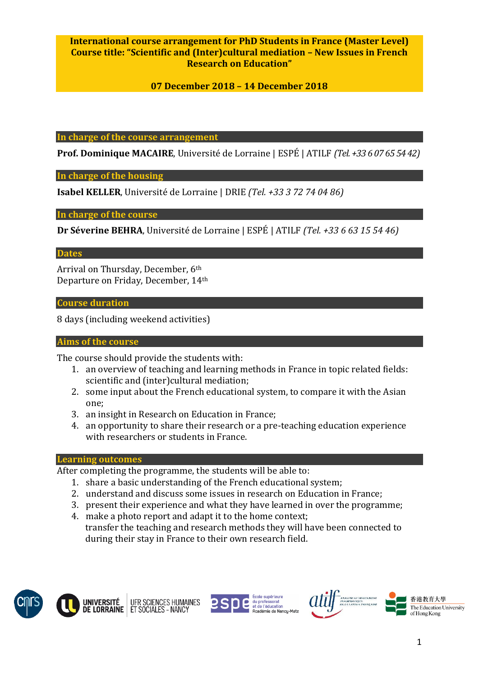# **International course arrangement for PhD Students in France (Master Level) Course title: "Scientific and (Inter)cultural mediation – New Issues in French Research on Education"**

# **07 December 2018 – 14 December 2018**

**In charge of the course arrangement**

**Prof. Dominique MACAIRE**, Université de Lorraine | ESPÉ | ATILF *(Tel. +33 6 07 65 54 42)*

**In charge of the housing**

**Isabel KELLER**, Université de Lorraine | DRIE *(Tel. +33 3 72 74 04 86)*

**In charge of the course** 

**Dr Séverine BEHRA**, Université de Lorraine | ESPÉ | ATILF *(Tel. +33 6 63 15 54 46)*

**Dates**

Arrival on Thursday, December, 6th Departure on Friday, December, 14th

**Course duration**

8 days (including weekend activities)

#### **Aims of the course**

The course should provide the students with:

- 1. an overview of teaching and learning methods in France in topic related fields: scientific and (inter)cultural mediation;
- 2. some input about the French educational system, to compare it with the Asian one;
- 3. an insight in Research on Education in France;
- 4. an opportunity to share their research or a pre-teaching education experience with researchers or students in France.

#### **Learning outcomes**

After completing the programme, the students will be able to:

- 1. share a basic understanding of the French educational system;
- 2. understand and discuss some issues in research on Education in France;
- 3. present their experience and what they have learned in over the programme;
- 4. make a photo report and adapt it to the home context; transfer the teaching and research methods they will have been connected to during their stay in France to their own research field.







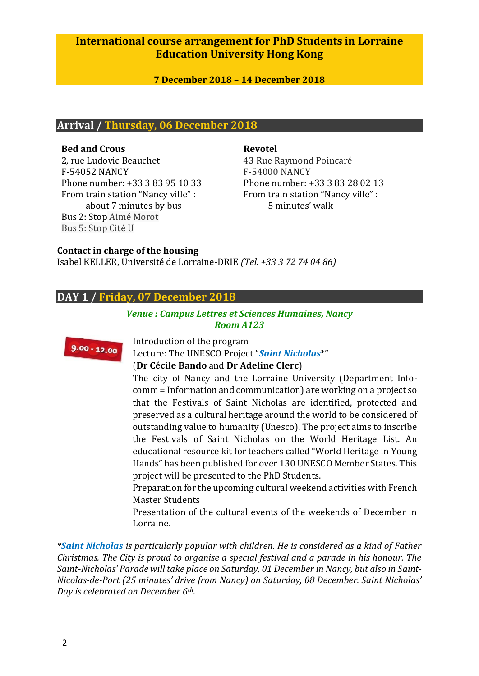# **International course arrangement for PhD Students in Lorraine Education University Hong Kong**

**7 December 2018 – 14 December 2018**

## **Arrival / Thursday, 06 December 2018**

#### **Bed and Crous**

2, rue Ludovic Beauchet F-54052 NANCY Phone number: +33 [3 83 95 10 33](tel:03%2083%2095%2010%2033) From train station "Nancy ville" : about 7 minutes by bus Bus 2: Stop Aimé Morot Bus 5: Stop Cité U

#### **Revotel**

43 Rue Raymond Poincaré F-54000 NANCY Phone number: +3[3 3 83 28 02 13](tel:03%2083%2095%2010%2033) From train station "Nancy ville" : 5 minutes' walk

## **Contact in charge of the housing**

Isabel KELLER, Université de Lorraine-DRIE *(Tel. +33 3 72 74 04 86)*

# **DAY 1 / Friday, 07 December 2018**

## *Venue : Campus Lettres et Sciences Humaines, Nancy Room A123*



Introduction of the program

Lecture: The UNESCO Project "*Saint Nicholas*\*"

## (**Dr Cécile Bando** and **Dr Adeline Clerc**)

The city of Nancy and the Lorraine University (Department Infocomm = Information and communication) are working on a project so that the Festivals of Saint Nicholas are identified, protected and preserved as a cultural heritage around the world to be considered of outstanding value to humanity (Unesco). The project aims to inscribe the Festivals of Saint Nicholas on the World Heritage List. An educational resource kit for teachers called "World Heritage in Young Hands" has been published for over 130 UNESCO Member States. This project will be presented to the PhD Students.

Preparation for the upcoming cultural weekend activities with French Master Students

Presentation of the cultural events of the weekends of December in Lorraine.

*\*Saint Nicholas is particularly popular with children. He is considered as a kind of Father Christmas. The City is proud to organise a special festival and a parade in his honour. The Saint-Nicholas' Parade will take place on Saturday, 01 December in Nancy, but also in Saint-Nicolas-de-Port (25 minutes' drive from Nancy) on Saturday, 08 December. Saint Nicholas' Day is celebrated on December 6th.*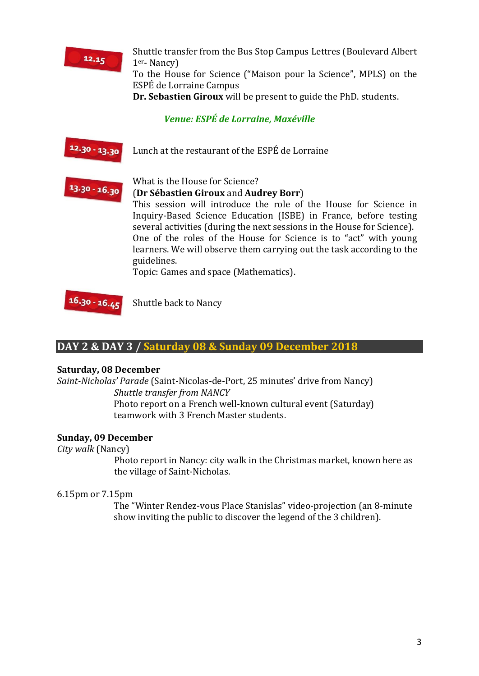

Shuttle transfer from the Bus Stop Campus Lettres (Boulevard Albert 1er- Nancy) To the House for Science ("Maison pour la Science", MPLS) on the ESPÉ de Lorraine Campus **Dr. Sebastien Giroux** will be present to guide the PhD. students.

*Venue: ESPÉ de Lorraine, Maxéville*

 $12.30 - 13.30$ Lunch at the restaurant of the ESPÉ de Lorraine



#### What is the House for Science? (**Dr Sébastien Giroux** and **Audrey Borr**)

This session will introduce the role of the House for Science in Inquiry-Based Science Education (ISBE) in France, before testing several activities (during the next sessions in the House for Science). One of the roles of the House for Science is to "act" with young learners. We will observe them carrying out the task according to the guidelines.

Topic: Games and space (Mathematics).

 $16.30 - 16.45$ 

Shuttle back to Nancy

# **DAY 2 & DAY 3 / Saturday 08 & Sunday 09 December 2018**

## **Saturday, 08 December**

*Saint-Nicholas' Parade* (Saint-Nicolas-de-Port, 25 minutes' drive from Nancy) *Shuttle transfer from NANCY*

> Photo report on a French well-known cultural event (Saturday) teamwork with 3 French Master students.

## **Sunday, 09 December**

*City walk* (Nancy)

Photo report in Nancy: city walk in the Christmas market, known here as the village of Saint-Nicholas.

## 6.15pm or 7.15pm

The "Winter Rendez-vous Place Stanislas" video-projection (an 8-minute show inviting the public to discover the legend of the 3 children).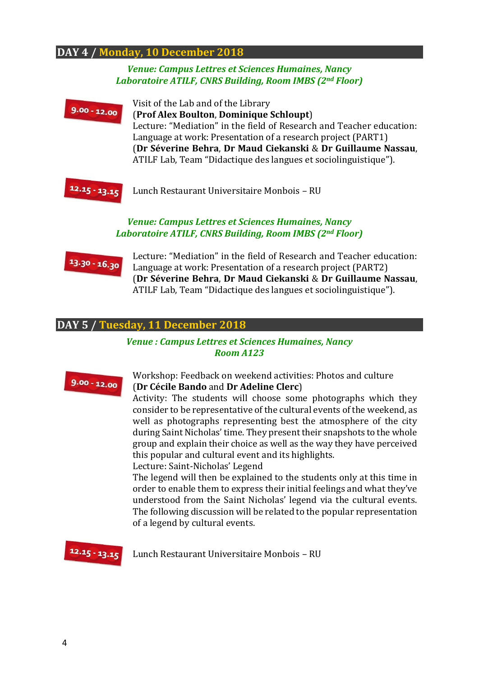# **DAY 4 / Monday, 10 December 2018**

#### *Venue: Campus Lettres et Sciences Humaines, Nancy Laboratoire ATILF, CNRS Building, Room IMBS (2nd Floor)*



Lunch Restaurant Universitaire Monbois – RU

#### *Venue: Campus Lettres et Sciences Humaines, Nancy Laboratoire ATILF, CNRS Building, Room IMBS (2nd Floor)*



Lecture: "Mediation" in the field of Research and Teacher education: Language at work: Presentation of a research project (PART2) (**Dr Séverine Behra**, **Dr Maud Ciekanski** & **Dr Guillaume Nassau**, ATILF Lab, Team "Didactique des langues et sociolinguistique").

#### **DAY 5 / Tuesday, 11 December 2018**

#### *Venue : Campus Lettres et Sciences Humaines, Nancy Room A123*



#### Workshop: Feedback on weekend activities: Photos and culture (**Dr Cécile Bando** and **Dr Adeline Clerc**)

Activity: The students will choose some photographs which they consider to be representative of the cultural events of the weekend, as well as photographs representing best the atmosphere of the city during Saint Nicholas' time. They present their snapshots to the whole group and explain their choice as well as the way they have perceived this popular and cultural event and its highlights.

Lecture: Saint-Nicholas' Legend

The legend will then be explained to the students only at this time in order to enable them to express their initial feelings and what they've understood from the Saint Nicholas' legend via the cultural events. The following discussion will be related to the popular representation of a legend by cultural events.



Lunch Restaurant Universitaire Monbois – RU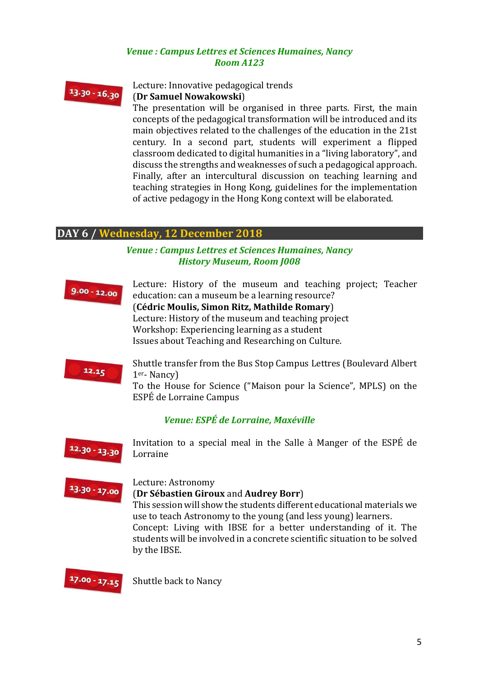### *Venue : Campus Lettres et Sciences Humaines, Nancy Room A123*



Lecture: Innovative pedagogical trends (**Dr Samuel Nowakowski**)

The presentation will be organised in three parts. First, the main concepts of the pedagogical transformation will be introduced and its main objectives related to the challenges of the education in the 21st century. In a second part, students will experiment a flipped classroom dedicated to digital humanities in a "living laboratory", and discuss the strengths and weaknesses of such a pedagogical approach. Finally, after an intercultural discussion on teaching learning and teaching strategies in Hong Kong, guidelines for the implementation of active pedagogy in the Hong Kong context will be elaborated.

# **DAY 6 / Wednesday, 12 December 2018**

## *Venue : Campus Lettres et Sciences Humaines, Nancy History Museum, Room J008*



Lecture: History of the museum and teaching project; Teacher education: can a museum be a learning resource?

(**Cédric Moulis, Simon Ritz, Mathilde Romary**) Lecture: History of the museum and teaching project Workshop: Experiencing learning as a student Issues about Teaching and Researching on Culture.



Shuttle transfer from the Bus Stop Campus Lettres (Boulevard Albert 1er- Nancy)

To the House for Science ("Maison pour la Science", MPLS) on the ESPÉ de Lorraine Campus

## *Venue: ESPÉ de Lorraine, Maxéville*



Invitation to a special meal in the Salle à Manger of the ESPÉ de Lorraine

# $13.30 - 17.00$

#### Lecture: Astronomy (**Dr Sébastien Giroux** and **Audrey Borr**)

This session will show the students different educational materials we use to teach Astronomy to the young (and less young) learners. Concept: Living with IBSE for a better understanding of it. The students will be involved in a concrete scientific situation to be solved by the IBSE.



Shuttle back to Nancy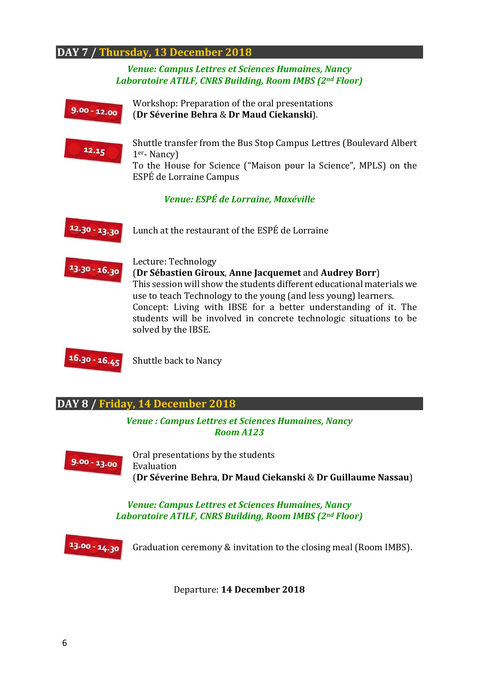# **DAY 7 / Thursday, 13 December 2018**

*Venue: Campus Lettres et Sciences Humaines, Nancy Laboratoire ATILF, CNRS Building, Room IMBS (2nd Floor)*

Workshop: Preparation of the oral presentations (**Dr Séverine Behra** & **Dr Maud Ciekanski**).



Shuttle transfer from the Bus Stop Campus Lettres (Boulevard Albert 1er- Nancy)

To the House for Science ("Maison pour la Science", MPLS) on the ESPÉ de Lorraine Campus

*Venue: ESPÉ de Lorraine, Maxéville*





Lecture: Technology

(**Dr Sébastien Giroux**, **Anne Jacquemet** and **Audrey Borr**) This session will show the students different educational materials we use to teach Technology to the young (and less young) learners. Concept: Living with IBSE for a better understanding of it. The students will be involved in concrete technologic situations to be solved by the IBSE.



Shuttle back to Nancy

**DAY 8 / Friday, 14 December 2018**

*Venue : Campus Lettres et Sciences Humaines, Nancy Room A123*



Oral presentations by the students Evaluation (**Dr Séverine Behra**, **Dr Maud Ciekanski** & **Dr Guillaume Nassau**)

*Venue: Campus Lettres et Sciences Humaines, Nancy Laboratoire ATILF, CNRS Building, Room IMBS (2nd Floor)*



Graduation ceremony & invitation to the closing meal (Room IMBS).

Departure: **14 December 2018**